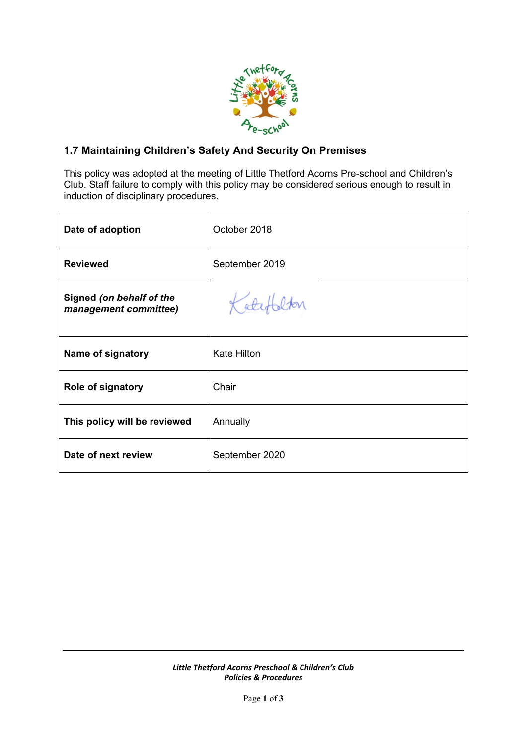

## **1.7 Maintaining Children's Safety And Security On Premises**

This policy was adopted at the meeting of Little Thetford Acorns Pre-school and Children's Club. Staff failure to comply with this policy may be considered serious enough to result in induction of disciplinary procedures.

| Date of adoption                                  | October 2018       |
|---------------------------------------------------|--------------------|
| <b>Reviewed</b>                                   | September 2019     |
| Signed (on behalf of the<br>management committee) | Katefalton         |
| Name of signatory                                 | <b>Kate Hilton</b> |
| Role of signatory                                 | Chair              |
| This policy will be reviewed                      | Annually           |
| Date of next review                               | September 2020     |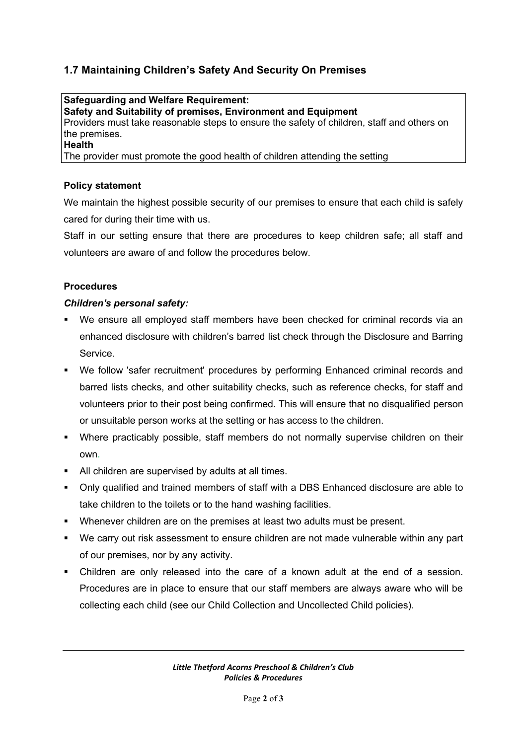# **1.7 Maintaining Children's Safety And Security On Premises**

**Safeguarding and Welfare Requirement: Safety and Suitability of premises, Environment and Equipment** Providers must take reasonable steps to ensure the safety of children, staff and others on the premises. **Health**

The provider must promote the good health of children attending the setting

#### **Policy statement**

We maintain the highest possible security of our premises to ensure that each child is safely cared for during their time with us.

Staff in our setting ensure that there are procedures to keep children safe; all staff and volunteers are aware of and follow the procedures below.

### **Procedures**

#### *Children's personal safety:*

- We ensure all employed staff members have been checked for criminal records via an enhanced disclosure with children's barred list check through the Disclosure and Barring Service.
- We follow 'safer recruitment' procedures by performing Enhanced criminal records and barred lists checks, and other suitability checks, such as reference checks, for staff and volunteers prior to their post being confirmed. This will ensure that no disqualified person or unsuitable person works at the setting or has access to the children.
- Where practicably possible, staff members do not normally supervise children on their own.
- All children are supervised by adults at all times.
- Only qualified and trained members of staff with a DBS Enhanced disclosure are able to take children to the toilets or to the hand washing facilities.
- Whenever children are on the premises at least two adults must be present.
- We carry out risk assessment to ensure children are not made vulnerable within any part of our premises, nor by any activity.
- Children are only released into the care of a known adult at the end of a session. Procedures are in place to ensure that our staff members are always aware who will be collecting each child (see our Child Collection and Uncollected Child policies).